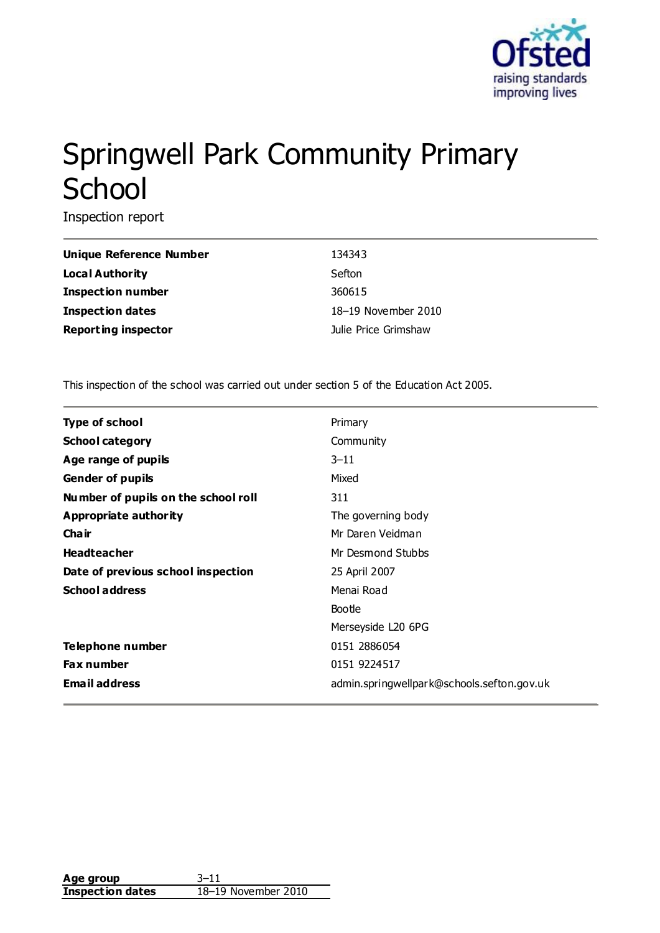

# Springwell Park Community Primary **School**

Inspection report

| <b>Unique Reference Number</b> | 134343               |
|--------------------------------|----------------------|
| Local Authority                | Sefton               |
| <b>Inspection number</b>       | 360615               |
| <b>Inspection dates</b>        | 18-19 November 2010  |
| <b>Reporting inspector</b>     | Julie Price Grimshaw |

This inspection of the school was carried out under section 5 of the Education Act 2005.

| Type of school                      | Primary                                    |
|-------------------------------------|--------------------------------------------|
| <b>School category</b>              | Community                                  |
| Age range of pupils                 | $3 - 11$                                   |
| <b>Gender of pupils</b>             | Mixed                                      |
| Number of pupils on the school roll | 311                                        |
| Appropriate authority               | The governing body                         |
| Cha ir                              | Mr Daren Veidman                           |
| <b>Headteacher</b>                  | Mr Desmond Stubbs                          |
| Date of previous school inspection  | 25 April 2007                              |
| <b>School address</b>               | Menai Road                                 |
|                                     | Bootle                                     |
|                                     | Merseyside L20 6PG                         |
| <b>Telephone number</b>             | 0151 2886054                               |
| <b>Fax number</b>                   | 0151 9224517                               |
| <b>Email address</b>                | admin.springwellpark@schools.sefton.gov.uk |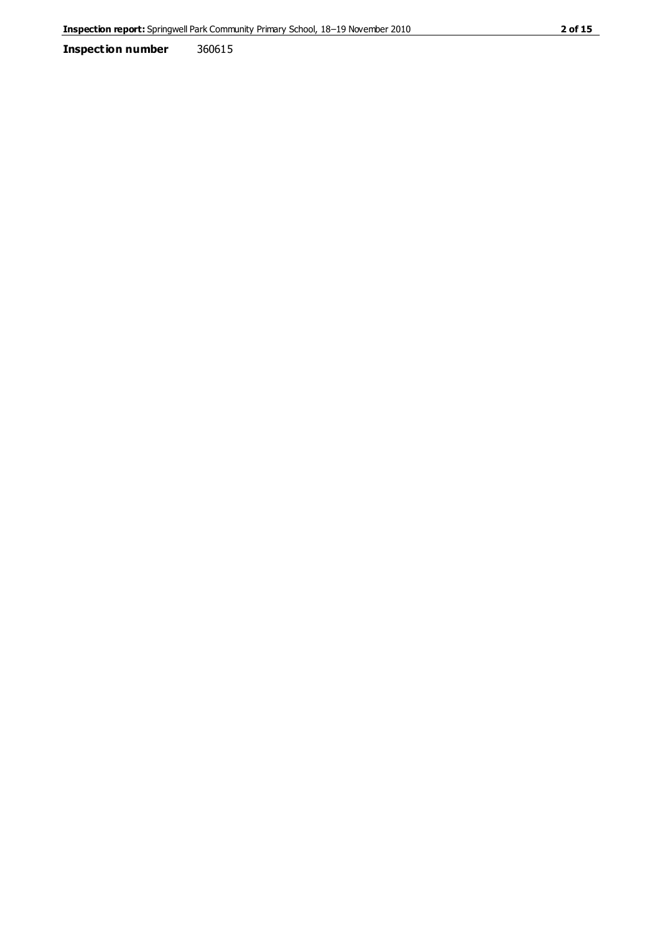**Inspection number** 360615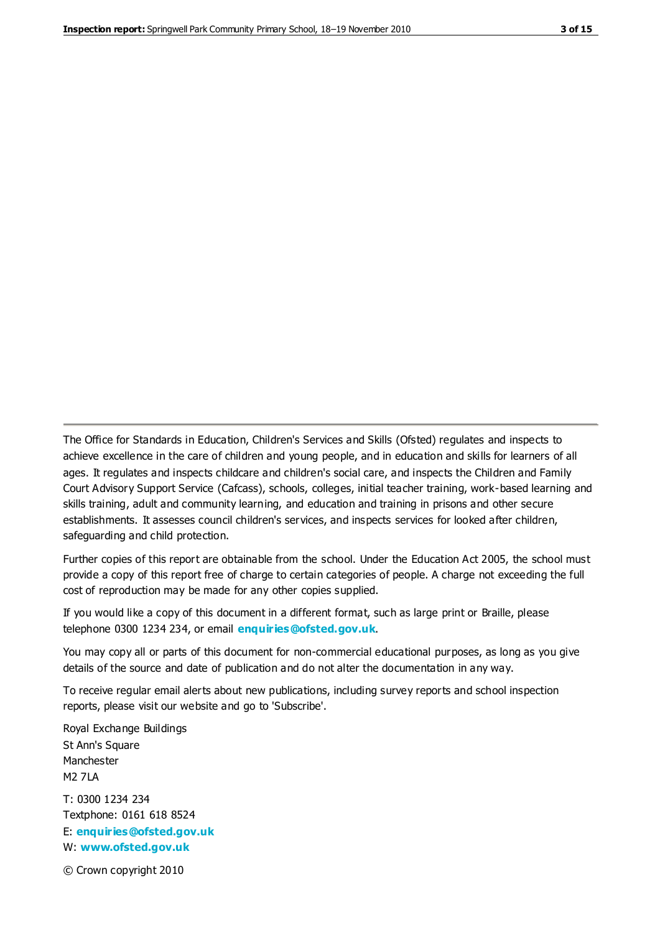The Office for Standards in Education, Children's Services and Skills (Ofsted) regulates and inspects to achieve excellence in the care of children and young people, and in education and skills for learners of all ages. It regulates and inspects childcare and children's social care, and inspects the Children and Family Court Advisory Support Service (Cafcass), schools, colleges, initial teacher training, work-based learning and skills training, adult and community learning, and education and training in prisons and other secure establishments. It assesses council children's services, and inspects services for looked after children, safeguarding and child protection.

Further copies of this report are obtainable from the school. Under the Education Act 2005, the school must provide a copy of this report free of charge to certain categories of people. A charge not exceeding the full cost of reproduction may be made for any other copies supplied.

If you would like a copy of this document in a different format, such as large print or Braille, please telephone 0300 1234 234, or email **[enquiries@ofsted.gov.uk](mailto:enquiries@ofsted.gov.uk)**.

You may copy all or parts of this document for non-commercial educational purposes, as long as you give details of the source and date of publication and do not alter the documentation in any way.

To receive regular email alerts about new publications, including survey reports and school inspection reports, please visit our website and go to 'Subscribe'.

Royal Exchange Buildings St Ann's Square Manchester M2 7LA T: 0300 1234 234 Textphone: 0161 618 8524 E: **[enquiries@ofsted.gov.uk](mailto:enquiries@ofsted.gov.uk)**

W: **[www.ofsted.gov.uk](http://www.ofsted.gov.uk/)**

© Crown copyright 2010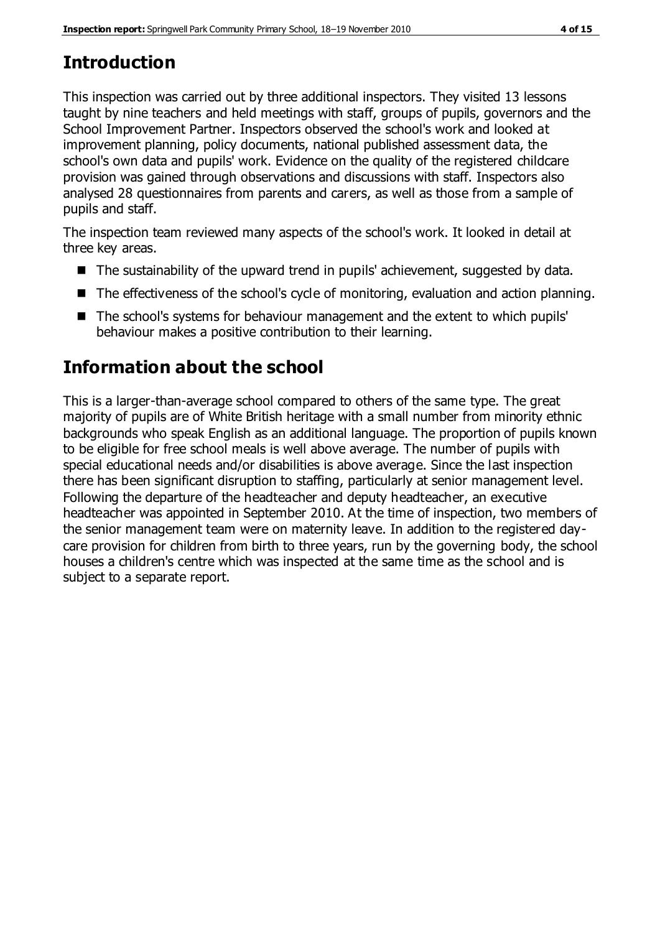# **Introduction**

This inspection was carried out by three additional inspectors. They visited 13 lessons taught by nine teachers and held meetings with staff, groups of pupils, governors and the School Improvement Partner. Inspectors observed the school's work and looked at improvement planning, policy documents, national published assessment data, the school's own data and pupils' work. Evidence on the quality of the registered childcare provision was gained through observations and discussions with staff. Inspectors also analysed 28 questionnaires from parents and carers, as well as those from a sample of pupils and staff.

The inspection team reviewed many aspects of the school's work. It looked in detail at three key areas.

- The sustainability of the upward trend in pupils' achievement, suggested by data.
- The effectiveness of the school's cycle of monitoring, evaluation and action planning.
- The school's systems for behaviour management and the extent to which pupils' behaviour makes a positive contribution to their learning.

# **Information about the school**

This is a larger-than-average school compared to others of the same type. The great majority of pupils are of White British heritage with a small number from minority ethnic backgrounds who speak English as an additional language. The proportion of pupils known to be eligible for free school meals is well above average. The number of pupils with special educational needs and/or disabilities is above average. Since the last inspection there has been significant disruption to staffing, particularly at senior management level. Following the departure of the headteacher and deputy headteacher, an executive headteacher was appointed in September 2010. At the time of inspection, two members of the senior management team were on maternity leave. In addition to the registered daycare provision for children from birth to three years, run by the governing body, the school houses a children's centre which was inspected at the same time as the school and is subject to a separate report.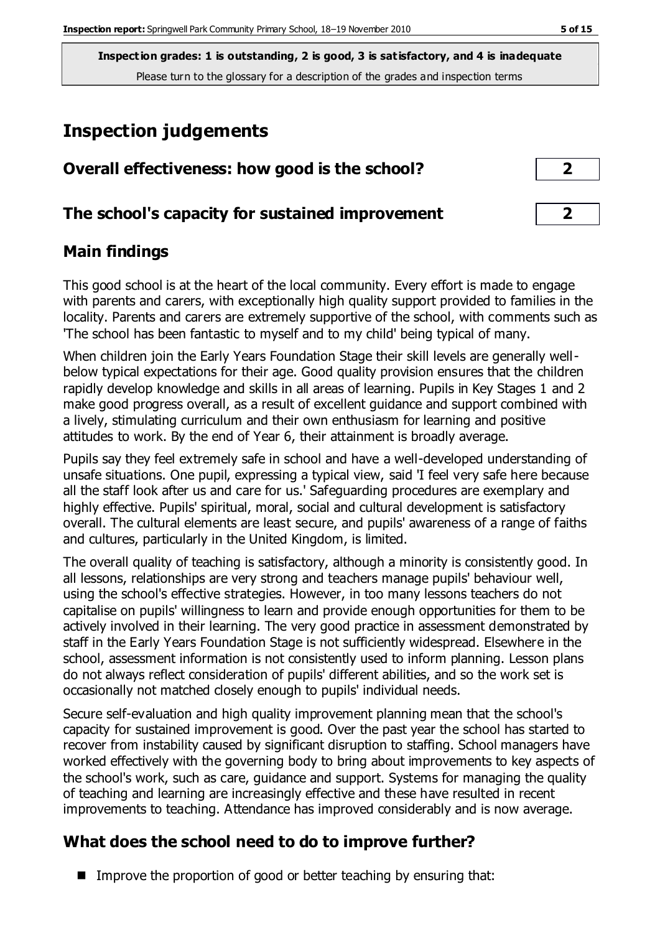**Inspection grades: 1 is outstanding, 2 is good, 3 is satisfactory, and 4 is inadequate** Please turn to the glossary for a description of the grades and inspection terms

## **Inspection judgements**

| Overall effectiveness: how good is the school?  | ר                       |  |
|-------------------------------------------------|-------------------------|--|
| The school's capacity for sustained improvement | $\overline{\mathbf{2}}$ |  |

#### **Main findings**

This good school is at the heart of the local community. Every effort is made to engage with parents and carers, with exceptionally high quality support provided to families in the locality. Parents and carers are extremely supportive of the school, with comments such as 'The school has been fantastic to myself and to my child' being typical of many.

When children join the Early Years Foundation Stage their skill levels are generally wellbelow typical expectations for their age. Good quality provision ensures that the children rapidly develop knowledge and skills in all areas of learning. Pupils in Key Stages 1 and 2 make good progress overall, as a result of excellent guidance and support combined with a lively, stimulating curriculum and their own enthusiasm for learning and positive attitudes to work. By the end of Year 6, their attainment is broadly average.

Pupils say they feel extremely safe in school and have a well-developed understanding of unsafe situations. One pupil, expressing a typical view, said 'I feel very safe here because all the staff look after us and care for us.' Safeguarding procedures are exemplary and highly effective. Pupils' spiritual, moral, social and cultural development is satisfactory overall. The cultural elements are least secure, and pupils' awareness of a range of faiths and cultures, particularly in the United Kingdom, is limited.

The overall quality of teaching is satisfactory, although a minority is consistently good. In all lessons, relationships are very strong and teachers manage pupils' behaviour well, using the school's effective strategies. However, in too many lessons teachers do not capitalise on pupils' willingness to learn and provide enough opportunities for them to be actively involved in their learning. The very good practice in assessment demonstrated by staff in the Early Years Foundation Stage is not sufficiently widespread. Elsewhere in the school, assessment information is not consistently used to inform planning. Lesson plans do not always reflect consideration of pupils' different abilities, and so the work set is occasionally not matched closely enough to pupils' individual needs.

Secure self-evaluation and high quality improvement planning mean that the school's capacity for sustained improvement is good. Over the past year the school has started to recover from instability caused by significant disruption to staffing. School managers have worked effectively with the governing body to bring about improvements to key aspects of the school's work, such as care, guidance and support. Systems for managing the quality of teaching and learning are increasingly effective and these have resulted in recent improvements to teaching. Attendance has improved considerably and is now average.

## **What does the school need to do to improve further?**

■ Improve the proportion of good or better teaching by ensuring that: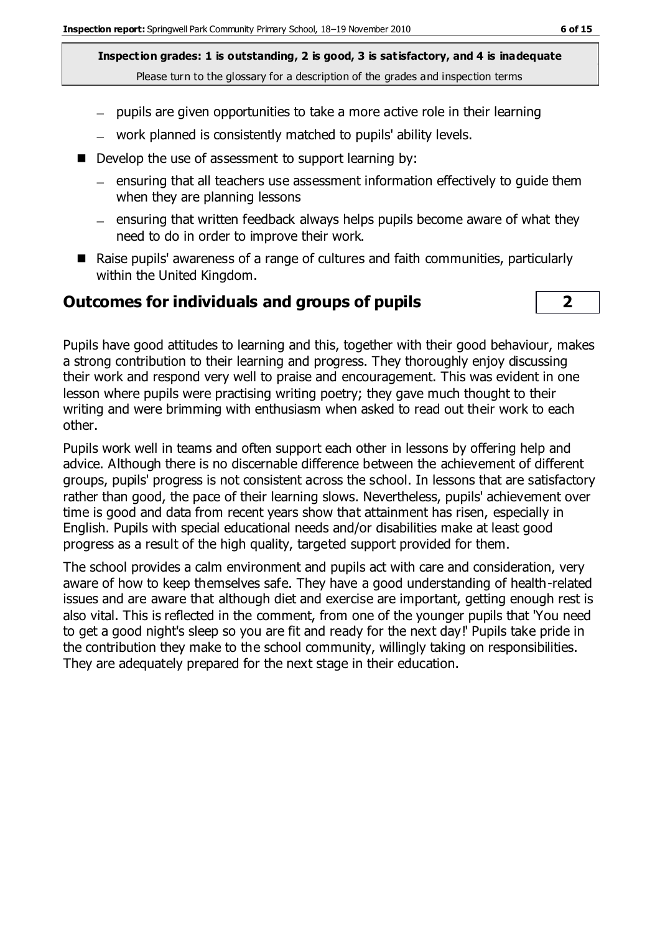**Inspection grades: 1 is outstanding, 2 is good, 3 is satisfactory, and 4 is inadequate** Please turn to the glossary for a description of the grades and inspection terms

- $-$  pupils are given opportunities to take a more active role in their learning
- work planned is consistently matched to pupils' ability levels.
- $\blacksquare$  Develop the use of assessment to support learning by:
	- $-$  ensuring that all teachers use assessment information effectively to quide them when they are planning lessons
	- $=$  ensuring that written feedback always helps pupils become aware of what they need to do in order to improve their work.
- Raise pupils' awareness of a range of cultures and faith communities, particularly within the United Kingdom.

#### **Outcomes for individuals and groups of pupils 2**



Pupils have good attitudes to learning and this, together with their good behaviour, makes a strong contribution to their learning and progress. They thoroughly enjoy discussing their work and respond very well to praise and encouragement. This was evident in one lesson where pupils were practising writing poetry; they gave much thought to their writing and were brimming with enthusiasm when asked to read out their work to each other.

Pupils work well in teams and often support each other in lessons by offering help and advice. Although there is no discernable difference between the achievement of different groups, pupils' progress is not consistent across the school. In lessons that are satisfactory rather than good, the pace of their learning slows. Nevertheless, pupils' achievement over time is good and data from recent years show that attainment has risen, especially in English. Pupils with special educational needs and/or disabilities make at least good progress as a result of the high quality, targeted support provided for them.

The school provides a calm environment and pupils act with care and consideration, very aware of how to keep themselves safe. They have a good understanding of health-related issues and are aware that although diet and exercise are important, getting enough rest is also vital. This is reflected in the comment, from one of the younger pupils that 'You need to get a good night's sleep so you are fit and ready for the next day!' Pupils take pride in the contribution they make to the school community, willingly taking on responsibilities. They are adequately prepared for the next stage in their education.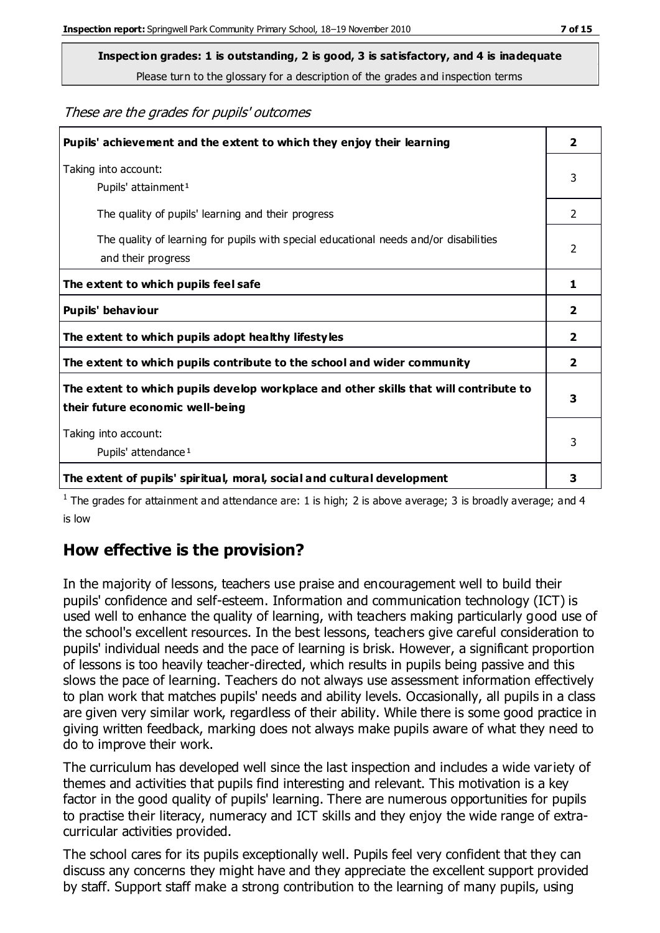**Inspection grades: 1 is outstanding, 2 is good, 3 is satisfactory, and 4 is inadequate**

Please turn to the glossary for a description of the grades and inspection terms

These are the grades for pupils' outcomes

| Pupils' achievement and the extent to which they enjoy their learning                                                     | $\overline{\mathbf{2}}$ |
|---------------------------------------------------------------------------------------------------------------------------|-------------------------|
| Taking into account:<br>Pupils' attainment <sup>1</sup>                                                                   | 3                       |
| The quality of pupils' learning and their progress                                                                        | $\mathfrak{D}$          |
| The quality of learning for pupils with special educational needs and/or disabilities<br>and their progress               | $\overline{2}$          |
| The extent to which pupils feel safe                                                                                      | 1                       |
| Pupils' behaviour                                                                                                         | 2                       |
| The extent to which pupils adopt healthy lifestyles                                                                       | $\overline{\mathbf{2}}$ |
| The extent to which pupils contribute to the school and wider community                                                   | 2                       |
| The extent to which pupils develop workplace and other skills that will contribute to<br>their future economic well-being | 3                       |
| Taking into account:<br>Pupils' attendance <sup>1</sup>                                                                   | 3                       |
| The extent of pupils' spiritual, moral, social and cultural development                                                   | 3                       |

<sup>1</sup> The grades for attainment and attendance are: 1 is high; 2 is above average; 3 is broadly average; and 4 is low

## **How effective is the provision?**

In the majority of lessons, teachers use praise and encouragement well to build their pupils' confidence and self-esteem. Information and communication technology (ICT) is used well to enhance the quality of learning, with teachers making particularly good use of the school's excellent resources. In the best lessons, teachers give careful consideration to pupils' individual needs and the pace of learning is brisk. However, a significant proportion of lessons is too heavily teacher-directed, which results in pupils being passive and this slows the pace of learning. Teachers do not always use assessment information effectively to plan work that matches pupils' needs and ability levels. Occasionally, all pupils in a class are given very similar work, regardless of their ability. While there is some good practice in giving written feedback, marking does not always make pupils aware of what they need to do to improve their work.

The curriculum has developed well since the last inspection and includes a wide variety of themes and activities that pupils find interesting and relevant. This motivation is a key factor in the good quality of pupils' learning. There are numerous opportunities for pupils to practise their literacy, numeracy and ICT skills and they enjoy the wide range of extracurricular activities provided.

The school cares for its pupils exceptionally well. Pupils feel very confident that they can discuss any concerns they might have and they appreciate the excellent support provided by staff. Support staff make a strong contribution to the learning of many pupils, using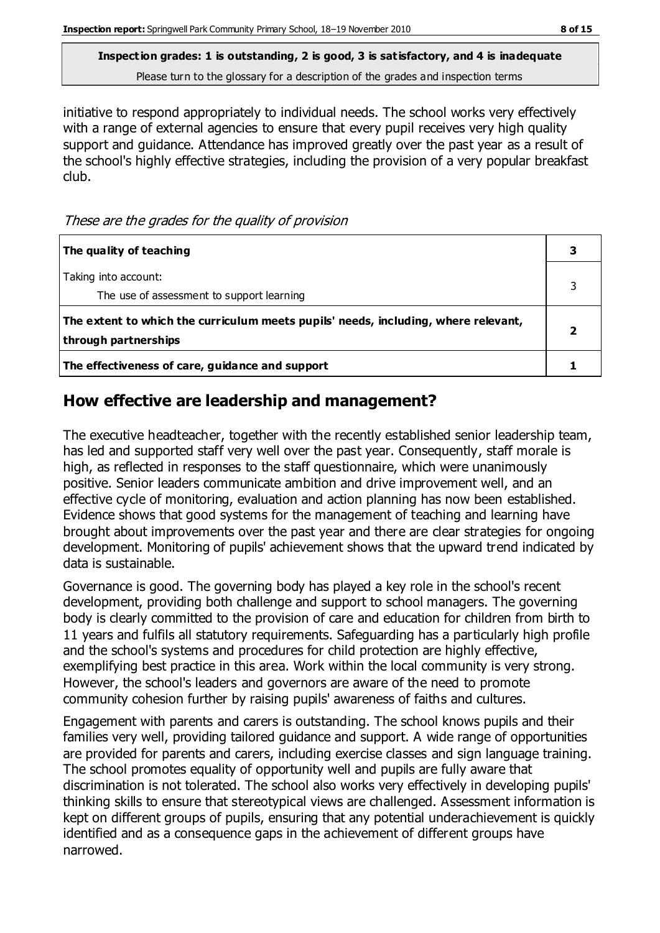**Inspection grades: 1 is outstanding, 2 is good, 3 is satisfactory, and 4 is inadequate** Please turn to the glossary for a description of the grades and inspection terms

initiative to respond appropriately to individual needs. The school works very effectively with a range of external agencies to ensure that every pupil receives very high quality support and guidance. Attendance has improved greatly over the past year as a result of the school's highly effective strategies, including the provision of a very popular breakfast club.

These are the grades for the quality of provision

| The quality of teaching                                                                                    |  |
|------------------------------------------------------------------------------------------------------------|--|
| Taking into account:<br>The use of assessment to support learning                                          |  |
| The extent to which the curriculum meets pupils' needs, including, where relevant,<br>through partnerships |  |
| The effectiveness of care, guidance and support                                                            |  |

#### **How effective are leadership and management?**

The executive headteacher, together with the recently established senior leadership team, has led and supported staff very well over the past year. Consequently, staff morale is high, as reflected in responses to the staff questionnaire, which were unanimously positive. Senior leaders communicate ambition and drive improvement well, and an effective cycle of monitoring, evaluation and action planning has now been established. Evidence shows that good systems for the management of teaching and learning have brought about improvements over the past year and there are clear strategies for ongoing development. Monitoring of pupils' achievement shows that the upward trend indicated by data is sustainable.

Governance is good. The governing body has played a key role in the school's recent development, providing both challenge and support to school managers. The governing body is clearly committed to the provision of care and education for children from birth to 11 years and fulfils all statutory requirements. Safeguarding has a particularly high profile and the school's systems and procedures for child protection are highly effective, exemplifying best practice in this area. Work within the local community is very strong. However, the school's leaders and governors are aware of the need to promote community cohesion further by raising pupils' awareness of faiths and cultures.

Engagement with parents and carers is outstanding. The school knows pupils and their families very well, providing tailored guidance and support. A wide range of opportunities are provided for parents and carers, including exercise classes and sign language training. The school promotes equality of opportunity well and pupils are fully aware that discrimination is not tolerated. The school also works very effectively in developing pupils' thinking skills to ensure that stereotypical views are challenged. Assessment information is kept on different groups of pupils, ensuring that any potential underachievement is quickly identified and as a consequence gaps in the achievement of different groups have narrowed.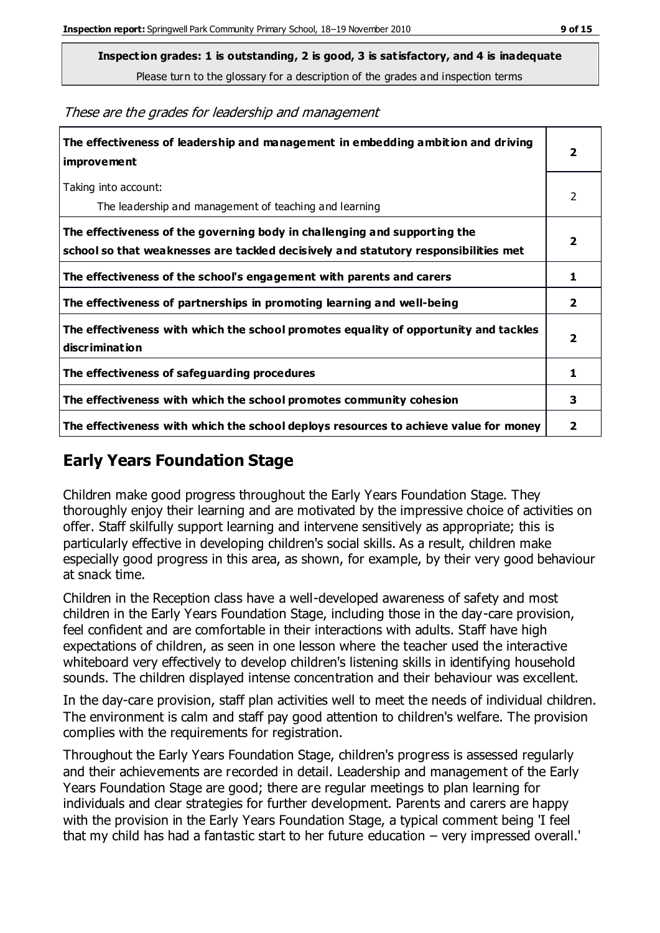Please turn to the glossary for a description of the grades and inspection terms

These are the grades for leadership and management

| The effectiveness of leadership and management in embedding ambition and driving<br>improvement                                                                  | $\overline{2}$          |
|------------------------------------------------------------------------------------------------------------------------------------------------------------------|-------------------------|
| Taking into account:<br>The leadership and management of teaching and learning                                                                                   | 2                       |
| The effectiveness of the governing body in challenging and supporting the<br>school so that weaknesses are tackled decisively and statutory responsibilities met | $\overline{\mathbf{2}}$ |
| The effectiveness of the school's engagement with parents and carers                                                                                             | 1                       |
| The effectiveness of partnerships in promoting learning and well-being                                                                                           | $\mathbf{2}$            |
| The effectiveness with which the school promotes equality of opportunity and tackles<br>discrimination                                                           | $\overline{\mathbf{2}}$ |
| The effectiveness of safeguarding procedures                                                                                                                     | 1                       |
| The effectiveness with which the school promotes community cohesion                                                                                              | 3                       |
| The effectiveness with which the school deploys resources to achieve value for money                                                                             | 2                       |

### **Early Years Foundation Stage**

Children make good progress throughout the Early Years Foundation Stage. They thoroughly enjoy their learning and are motivated by the impressive choice of activities on offer. Staff skilfully support learning and intervene sensitively as appropriate; this is particularly effective in developing children's social skills. As a result, children make especially good progress in this area, as shown, for example, by their very good behaviour at snack time.

Children in the Reception class have a well-developed awareness of safety and most children in the Early Years Foundation Stage, including those in the day-care provision, feel confident and are comfortable in their interactions with adults. Staff have high expectations of children, as seen in one lesson where the teacher used the interactive whiteboard very effectively to develop children's listening skills in identifying household sounds. The children displayed intense concentration and their behaviour was excellent.

In the day-care provision, staff plan activities well to meet the needs of individual children. The environment is calm and staff pay good attention to children's welfare. The provision complies with the requirements for registration.

Throughout the Early Years Foundation Stage, children's progress is assessed regularly and their achievements are recorded in detail. Leadership and management of the Early Years Foundation Stage are good; there are regular meetings to plan learning for individuals and clear strategies for further development. Parents and carers are happy with the provision in the Early Years Foundation Stage, a typical comment being 'I feel that my child has had a fantastic start to her future education – very impressed overall.'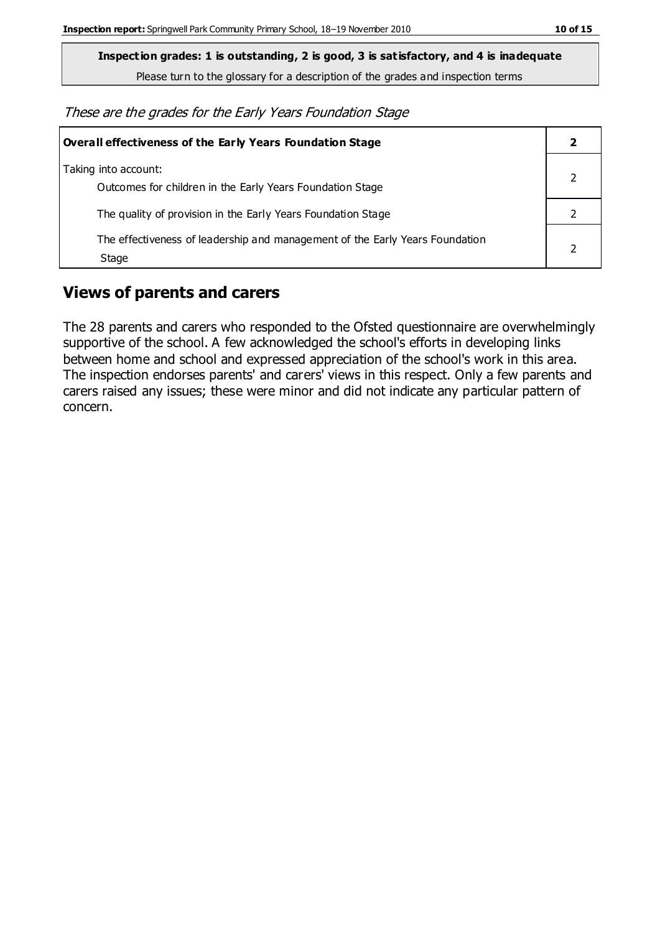Please turn to the glossary for a description of the grades and inspection terms

These are the grades for the Early Years Foundation Stage

| <b>Overall effectiveness of the Early Years Foundation Stage</b>                      |  |
|---------------------------------------------------------------------------------------|--|
| Taking into account:<br>Outcomes for children in the Early Years Foundation Stage     |  |
| The quality of provision in the Early Years Foundation Stage                          |  |
| The effectiveness of leadership and management of the Early Years Foundation<br>Stage |  |

### **Views of parents and carers**

The 28 parents and carers who responded to the Ofsted questionnaire are overwhelmingly supportive of the school. A few acknowledged the school's efforts in developing links between home and school and expressed appreciation of the school's work in this area. The inspection endorses parents' and carers' views in this respect. Only a few parents and carers raised any issues; these were minor and did not indicate any particular pattern of concern.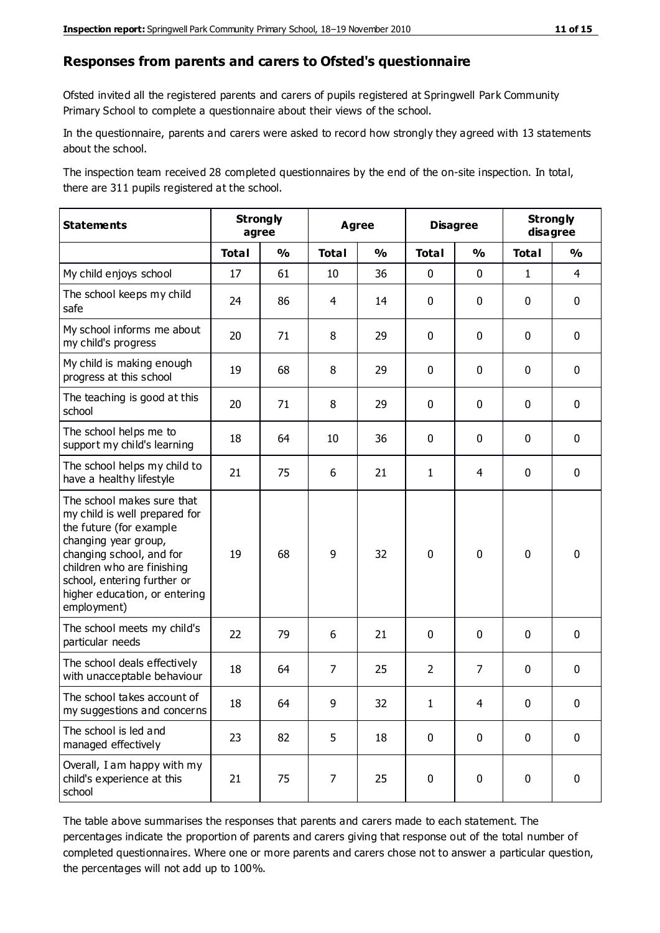#### **Responses from parents and carers to Ofsted's questionnaire**

Ofsted invited all the registered parents and carers of pupils registered at Springwell Park Community Primary School to complete a questionnaire about their views of the school.

In the questionnaire, parents and carers were asked to record how strongly they agreed with 13 statements about the school.

The inspection team received 28 completed questionnaires by the end of the on-site inspection. In total, there are 311 pupils registered at the school.

| <b>Statements</b>                                                                                                                                                                                                                                       | <b>Strongly</b><br>agree |               | <b>Agree</b>   |               | <b>Disagree</b> |                | <b>Strongly</b><br>disagree |               |
|---------------------------------------------------------------------------------------------------------------------------------------------------------------------------------------------------------------------------------------------------------|--------------------------|---------------|----------------|---------------|-----------------|----------------|-----------------------------|---------------|
|                                                                                                                                                                                                                                                         | <b>Total</b>             | $\frac{1}{2}$ | <b>Total</b>   | $\frac{1}{2}$ | <b>Total</b>    | $\frac{1}{2}$  | <b>Total</b>                | $\frac{1}{2}$ |
| My child enjoys school                                                                                                                                                                                                                                  | 17                       | 61            | 10             | 36            | 0               | 0              | $\mathbf{1}$                | 4             |
| The school keeps my child<br>safe                                                                                                                                                                                                                       | 24                       | 86            | 4              | 14            | 0               | 0              | $\mathbf 0$                 | $\mathbf 0$   |
| My school informs me about<br>my child's progress                                                                                                                                                                                                       | 20                       | 71            | 8              | 29            | 0               | 0              | $\mathbf 0$                 | $\mathbf 0$   |
| My child is making enough<br>progress at this school                                                                                                                                                                                                    | 19                       | 68            | 8              | 29            | 0               | 0              | $\mathbf 0$                 | $\mathbf 0$   |
| The teaching is good at this<br>school                                                                                                                                                                                                                  | 20                       | 71            | 8              | 29            | 0               | 0              | 0                           | $\mathbf 0$   |
| The school helps me to<br>support my child's learning                                                                                                                                                                                                   | 18                       | 64            | 10             | 36            | 0               | 0              | 0                           | $\mathbf 0$   |
| The school helps my child to<br>have a healthy lifestyle                                                                                                                                                                                                | 21                       | 75            | 6              | 21            | 1               | $\overline{4}$ | 0                           | $\pmb{0}$     |
| The school makes sure that<br>my child is well prepared for<br>the future (for example<br>changing year group,<br>changing school, and for<br>children who are finishing<br>school, entering further or<br>higher education, or entering<br>employment) | 19                       | 68            | 9              | 32            | $\mathbf 0$     | 0              | $\mathbf 0$                 | $\mathbf 0$   |
| The school meets my child's<br>particular needs                                                                                                                                                                                                         | 22                       | 79            | 6              | 21            | 0               | $\mathbf 0$    | $\mathbf 0$                 | $\mathbf 0$   |
| The school deals effectively<br>with unacceptable behaviour                                                                                                                                                                                             | 18                       | 64            | $\overline{7}$ | 25            | $\overline{2}$  | $\overline{7}$ | $\mathbf 0$                 | $\pmb{0}$     |
| The school takes account of<br>my suggestions and concerns                                                                                                                                                                                              | 18                       | 64            | 9              | 32            | 1               | 4              | $\mathbf{0}$                | $\mathbf{0}$  |
| The school is led and<br>managed effectively                                                                                                                                                                                                            | 23                       | 82            | 5              | 18            | $\pmb{0}$       | $\mathbf 0$    | $\mathbf 0$                 | $\mathbf 0$   |
| Overall, I am happy with my<br>child's experience at this<br>school                                                                                                                                                                                     | 21                       | 75            | 7              | 25            | 0               | $\pmb{0}$      | $\mathbf 0$                 | $\pmb{0}$     |

The table above summarises the responses that parents and carers made to each statement. The percentages indicate the proportion of parents and carers giving that response out of the total number of completed questionnaires. Where one or more parents and carers chose not to answer a particular question, the percentages will not add up to 100%.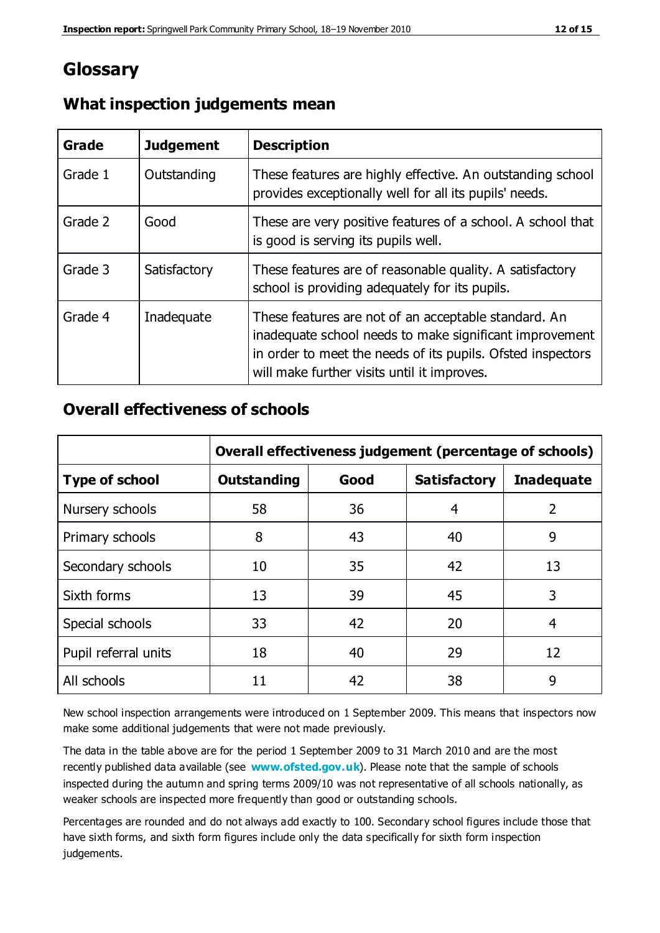## **Glossary**

| Grade   | <b>Judgement</b> | <b>Description</b>                                                                                                                                                                                                            |
|---------|------------------|-------------------------------------------------------------------------------------------------------------------------------------------------------------------------------------------------------------------------------|
| Grade 1 | Outstanding      | These features are highly effective. An outstanding school<br>provides exceptionally well for all its pupils' needs.                                                                                                          |
| Grade 2 | Good             | These are very positive features of a school. A school that<br>is good is serving its pupils well.                                                                                                                            |
| Grade 3 | Satisfactory     | These features are of reasonable quality. A satisfactory<br>school is providing adequately for its pupils.                                                                                                                    |
| Grade 4 | Inadequate       | These features are not of an acceptable standard. An<br>inadequate school needs to make significant improvement<br>in order to meet the needs of its pupils. Ofsted inspectors<br>will make further visits until it improves. |

#### **What inspection judgements mean**

#### **Overall effectiveness of schools**

|                       | Overall effectiveness judgement (percentage of schools) |      |                     |                   |
|-----------------------|---------------------------------------------------------|------|---------------------|-------------------|
| <b>Type of school</b> | <b>Outstanding</b>                                      | Good | <b>Satisfactory</b> | <b>Inadequate</b> |
| Nursery schools       | 58                                                      | 36   | 4                   | 2                 |
| Primary schools       | 8                                                       | 43   | 40                  | 9                 |
| Secondary schools     | 10                                                      | 35   | 42                  | 13                |
| Sixth forms           | 13                                                      | 39   | 45                  | 3                 |
| Special schools       | 33                                                      | 42   | 20                  | 4                 |
| Pupil referral units  | 18                                                      | 40   | 29                  | 12                |
| All schools           | 11                                                      | 42   | 38                  | 9                 |

New school inspection arrangements were introduced on 1 September 2009. This means that inspectors now make some additional judgements that were not made previously.

The data in the table above are for the period 1 September 2009 to 31 March 2010 and are the most recently published data available (see **[www.ofsted.gov.uk](http://www.ofsted.gov.uk/)**). Please note that the sample of schools inspected during the autumn and spring terms 2009/10 was not representative of all schools nationally, as weaker schools are inspected more frequently than good or outstanding schools.

Percentages are rounded and do not always add exactly to 100. Secondary school figures include those that have sixth forms, and sixth form figures include only the data specifically for sixth form inspection judgements.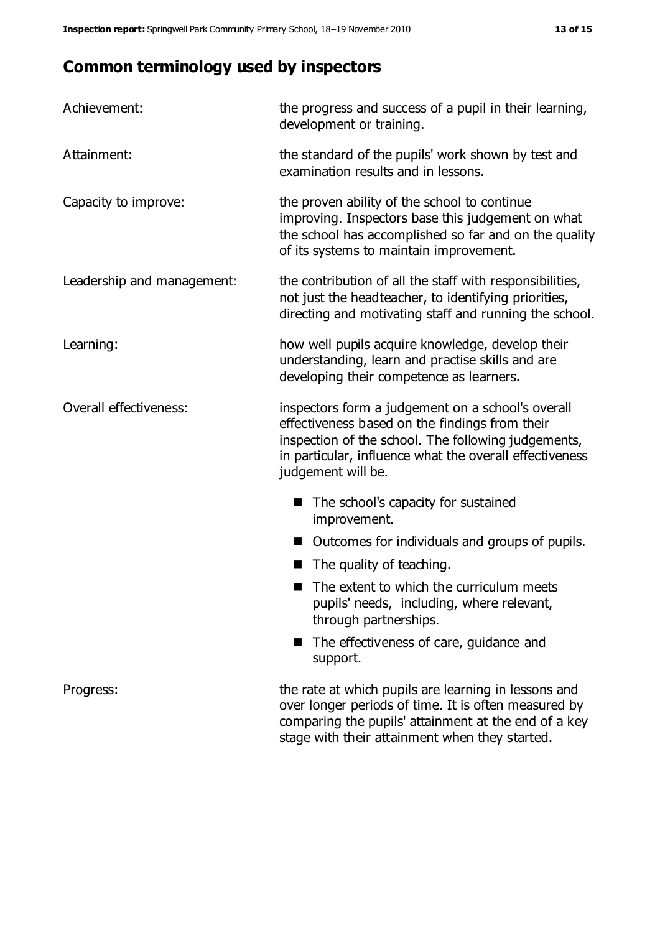## **Common terminology used by inspectors**

| Achievement:               | the progress and success of a pupil in their learning,<br>development or training.                                                                                                                                                          |
|----------------------------|---------------------------------------------------------------------------------------------------------------------------------------------------------------------------------------------------------------------------------------------|
| Attainment:                | the standard of the pupils' work shown by test and<br>examination results and in lessons.                                                                                                                                                   |
| Capacity to improve:       | the proven ability of the school to continue<br>improving. Inspectors base this judgement on what<br>the school has accomplished so far and on the quality<br>of its systems to maintain improvement.                                       |
| Leadership and management: | the contribution of all the staff with responsibilities,<br>not just the headteacher, to identifying priorities,<br>directing and motivating staff and running the school.                                                                  |
| Learning:                  | how well pupils acquire knowledge, develop their<br>understanding, learn and practise skills and are<br>developing their competence as learners.                                                                                            |
| Overall effectiveness:     | inspectors form a judgement on a school's overall<br>effectiveness based on the findings from their<br>inspection of the school. The following judgements,<br>in particular, influence what the overall effectiveness<br>judgement will be. |
|                            | The school's capacity for sustained<br>improvement.                                                                                                                                                                                         |
|                            | Outcomes for individuals and groups of pupils.                                                                                                                                                                                              |
|                            | The quality of teaching.                                                                                                                                                                                                                    |
|                            | The extent to which the curriculum meets<br>pupils' needs, including, where relevant,<br>through partnerships.                                                                                                                              |
|                            | The effectiveness of care, guidance and<br>support.                                                                                                                                                                                         |
| Progress:                  | the rate at which pupils are learning in lessons and<br>over longer periods of time. It is often measured by<br>comparing the pupils' attainment at the end of a key                                                                        |

stage with their attainment when they started.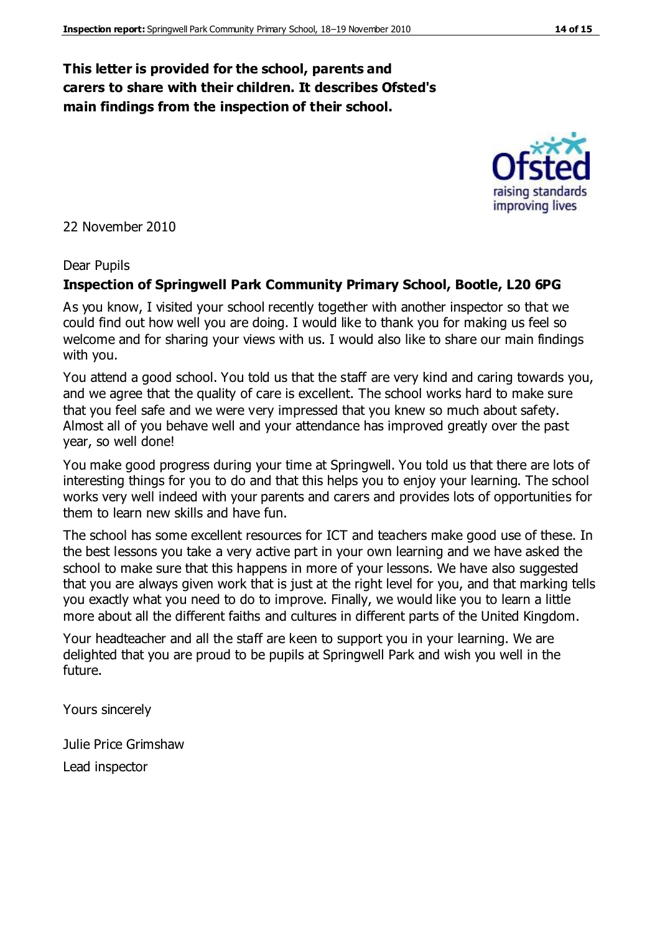#### **This letter is provided for the school, parents and carers to share with their children. It describes Ofsted's main findings from the inspection of their school.**

22 November 2010

#### Dear Pupils

#### **Inspection of Springwell Park Community Primary School, Bootle, L20 6PG**

As you know, I visited your school recently together with another inspector so that we could find out how well you are doing. I would like to thank you for making us feel so welcome and for sharing your views with us. I would also like to share our main findings with you.

You attend a good school. You told us that the staff are very kind and caring towards you, and we agree that the quality of care is excellent. The school works hard to make sure that you feel safe and we were very impressed that you knew so much about safety. Almost all of you behave well and your attendance has improved greatly over the past year, so well done!

You make good progress during your time at Springwell. You told us that there are lots of interesting things for you to do and that this helps you to enjoy your learning. The school works very well indeed with your parents and carers and provides lots of opportunities for them to learn new skills and have fun.

The school has some excellent resources for ICT and teachers make good use of these. In the best lessons you take a very active part in your own learning and we have asked the school to make sure that this happens in more of your lessons. We have also suggested that you are always given work that is just at the right level for you, and that marking tells you exactly what you need to do to improve. Finally, we would like you to learn a little more about all the different faiths and cultures in different parts of the United Kingdom.

Your headteacher and all the staff are keen to support you in your learning. We are delighted that you are proud to be pupils at Springwell Park and wish you well in the future.

Yours sincerely

Julie Price Grimshaw Lead inspector